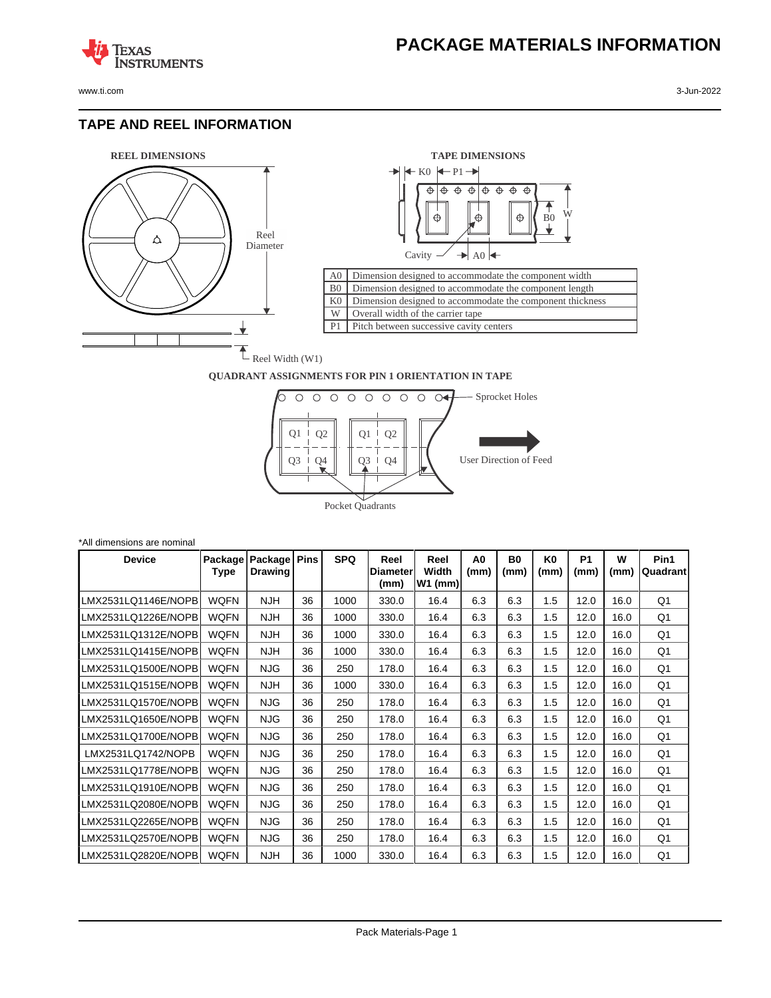www.ti.com 3-Jun-2022

**TEXAS** 

#### **TAPE AND REEL INFORMATION**

**ISTRUMENTS** 





#### **QUADRANT ASSIGNMENTS FOR PIN 1 ORIENTATION IN TAPE**



| *All dimensions are nominal |                 |                           |             |            |                          |                            |            |                        |                        |                   |           |                  |
|-----------------------------|-----------------|---------------------------|-------------|------------|--------------------------|----------------------------|------------|------------------------|------------------------|-------------------|-----------|------------------|
| <b>Device</b>               | Package<br>Type | Package<br><b>Drawing</b> | <b>Pins</b> | <b>SPQ</b> | Reel<br>Diameter<br>(mm) | Reel<br>Width<br>$W1$ (mm) | A0<br>(mm) | B <sub>0</sub><br>(mm) | K <sub>0</sub><br>(mm) | <b>P1</b><br>(mm) | W<br>(mm) | Pin1<br>Quadrant |
| LMX2531LQ1146E/NOPB         | <b>WQFN</b>     | <b>NJH</b>                | 36          | 1000       | 330.0                    | 16.4                       | 6.3        | 6.3                    | 1.5                    | 12.0              | 16.0      | Q1               |
| LMX2531LQ1226E/NOPB         | <b>WQFN</b>     | <b>NJH</b>                | 36          | 1000       | 330.0                    | 16.4                       | 6.3        | 6.3                    | 1.5                    | 12.0              | 16.0      | Q1               |
| LMX2531LQ1312E/NOPB         | <b>WQFN</b>     | <b>NJH</b>                | 36          | 1000       | 330.0                    | 16.4                       | 6.3        | 6.3                    | 1.5                    | 12.0              | 16.0      | Q1               |
| LMX2531LQ1415E/NOPB         | <b>WQFN</b>     | <b>NJH</b>                | 36          | 1000       | 330.0                    | 16.4                       | 6.3        | 6.3                    | 1.5                    | 12.0              | 16.0      | Q1               |
| LMX2531LQ1500E/NOPB         | <b>WQFN</b>     | <b>NJG</b>                | 36          | 250        | 178.0                    | 16.4                       | 6.3        | 6.3                    | 1.5                    | 12.0              | 16.0      | Q1               |
| LMX2531LQ1515E/NOPB         | <b>WQFN</b>     | <b>NJH</b>                | 36          | 1000       | 330.0                    | 16.4                       | 6.3        | 6.3                    | 1.5                    | 12.0              | 16.0      | Q1               |
| LMX2531LQ1570E/NOPB         | <b>WQFN</b>     | <b>NJG</b>                | 36          | 250        | 178.0                    | 16.4                       | 6.3        | 6.3                    | 1.5                    | 12.0              | 16.0      | Q1               |
| LMX2531LQ1650E/NOPB         | <b>WQFN</b>     | <b>NJG</b>                | 36          | 250        | 178.0                    | 16.4                       | 6.3        | 6.3                    | 1.5                    | 12.0              | 16.0      | Q1               |
| LMX2531LQ1700E/NOPB         | <b>WQFN</b>     | <b>NJG</b>                | 36          | 250        | 178.0                    | 16.4                       | 6.3        | 6.3                    | 1.5                    | 12.0              | 16.0      | Q1               |
| LMX2531LQ1742/NOPB          | <b>WQFN</b>     | <b>NJG</b>                | 36          | 250        | 178.0                    | 16.4                       | 6.3        | 6.3                    | 1.5                    | 12.0              | 16.0      | Q1               |
| LMX2531LQ1778E/NOPB         | <b>WQFN</b>     | <b>NJG</b>                | 36          | 250        | 178.0                    | 16.4                       | 6.3        | 6.3                    | 1.5                    | 12.0              | 16.0      | Q1               |
| LMX2531LQ1910E/NOPB         | <b>WQFN</b>     | <b>NJG</b>                | 36          | 250        | 178.0                    | 16.4                       | 6.3        | 6.3                    | 1.5                    | 12.0              | 16.0      | Q1               |
| LMX2531LQ2080E/NOPB         | <b>WQFN</b>     | <b>NJG</b>                | 36          | 250        | 178.0                    | 16.4                       | 6.3        | 6.3                    | 1.5                    | 12.0              | 16.0      | Q1               |
| LMX2531LQ2265E/NOPB         | <b>WQFN</b>     | <b>NJG</b>                | 36          | 250        | 178.0                    | 16.4                       | 6.3        | 6.3                    | 1.5                    | 12.0              | 16.0      | Q1               |
| LMX2531LQ2570E/NOPB         | <b>WQFN</b>     | <b>NJG</b>                | 36          | 250        | 178.0                    | 16.4                       | 6.3        | 6.3                    | 1.5                    | 12.0              | 16.0      | Q1               |
| LMX2531LQ2820E/NOPB         | <b>WQFN</b>     | <b>NJH</b>                | 36          | 1000       | 330.0                    | 16.4                       | 6.3        | 6.3                    | 1.5                    | 12.0              | 16.0      | Q1               |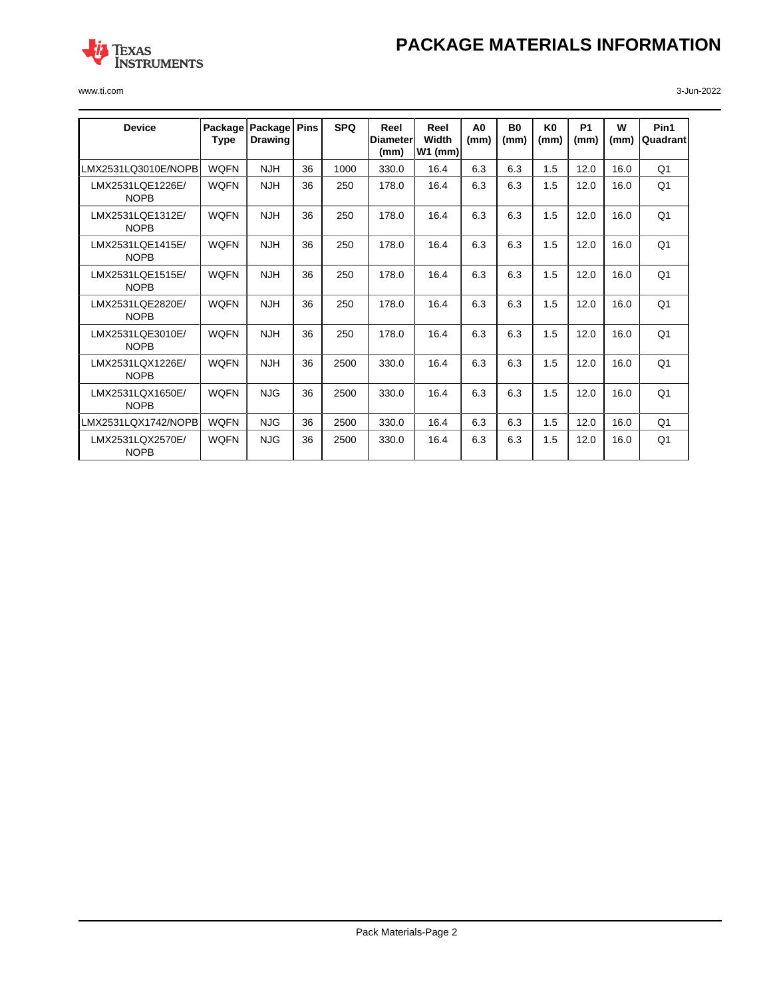# **PACKAGE MATERIALS INFORMATION**



www.ti.com 3-Jun-2022

| <b>Device</b>                   | Package<br>Type | Package<br><b>Drawing</b> | <b>Pins</b> | <b>SPQ</b> | Reel<br><b>Diameter</b><br>(mm) | Reel<br>Width<br>$W1$ (mm) | A <sub>0</sub><br>(mm) | <b>B0</b><br>(mm) | K <sub>0</sub><br>(mm) | <b>P1</b><br>(mm) | W<br>(mm) | Pin1<br>Quadrant |
|---------------------------------|-----------------|---------------------------|-------------|------------|---------------------------------|----------------------------|------------------------|-------------------|------------------------|-------------------|-----------|------------------|
| LMX2531LQ3010E/NOPB             | <b>WOFN</b>     | <b>NJH</b>                | 36          | 1000       | 330.0                           | 16.4                       | 6.3                    | 6.3               | 1.5                    | 12.0              | 16.0      | O <sub>1</sub>   |
| LMX2531LQE1226E/<br><b>NOPB</b> | <b>WQFN</b>     | <b>NJH</b>                | 36          | 250        | 178.0                           | 16.4                       | 6.3                    | 6.3               | 1.5                    | 12.0              | 16.0      | Q <sub>1</sub>   |
| LMX2531LQE1312E/<br><b>NOPB</b> | <b>WQFN</b>     | <b>NJH</b>                | 36          | 250        | 178.0                           | 16.4                       | 6.3                    | 6.3               | 1.5                    | 12.0              | 16.0      | Q <sub>1</sub>   |
| LMX2531LQE1415E/<br><b>NOPB</b> | <b>WQFN</b>     | <b>NJH</b>                | 36          | 250        | 178.0                           | 16.4                       | 6.3                    | 6.3               | 1.5                    | 12.0              | 16.0      | Q <sub>1</sub>   |
| LMX2531LQE1515E/<br><b>NOPB</b> | <b>WQFN</b>     | <b>NJH</b>                | 36          | 250        | 178.0                           | 16.4                       | 6.3                    | 6.3               | 1.5                    | 12.0              | 16.0      | Q <sub>1</sub>   |
| LMX2531LQE2820E/<br><b>NOPB</b> | <b>WOFN</b>     | <b>NJH</b>                | 36          | 250        | 178.0                           | 16.4                       | 6.3                    | 6.3               | 1.5                    | 12.0              | 16.0      | Q <sub>1</sub>   |
| LMX2531LQE3010E/<br><b>NOPB</b> | <b>WOFN</b>     | <b>NJH</b>                | 36          | 250        | 178.0                           | 16.4                       | 6.3                    | 6.3               | 1.5                    | 12.0              | 16.0      | Q <sub>1</sub>   |
| LMX2531LQX1226E/<br><b>NOPB</b> | <b>WQFN</b>     | <b>NJH</b>                | 36          | 2500       | 330.0                           | 16.4                       | 6.3                    | 6.3               | 1.5                    | 12.0              | 16.0      | Q <sub>1</sub>   |
| LMX2531LQX1650E/<br><b>NOPB</b> | <b>WOFN</b>     | <b>NJG</b>                | 36          | 2500       | 330.0                           | 16.4                       | 6.3                    | 6.3               | 1.5                    | 12.0              | 16.0      | Q <sub>1</sub>   |
| LMX2531LQX1742/NOPB             | <b>WOFN</b>     | <b>NJG</b>                | 36          | 2500       | 330.0                           | 16.4                       | 6.3                    | 6.3               | 1.5                    | 12.0              | 16.0      | O <sub>1</sub>   |
| LMX2531LQX2570E/<br><b>NOPB</b> | <b>WQFN</b>     | <b>NJG</b>                | 36          | 2500       | 330.0                           | 16.4                       | 6.3                    | 6.3               | 1.5                    | 12.0              | 16.0      | Q <sub>1</sub>   |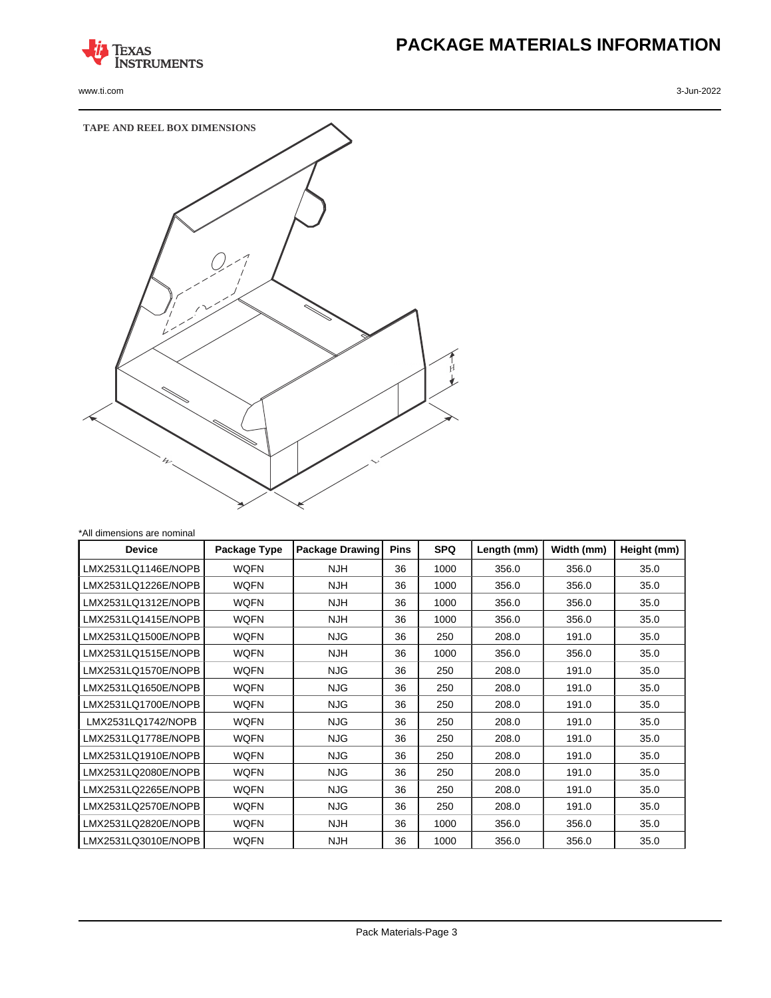

www.ti.com 3-Jun-2022

# **PACKAGE MATERIALS INFORMATION**



| 'All dimensions are nominal |              |                        |             |            |             |            |             |  |  |
|-----------------------------|--------------|------------------------|-------------|------------|-------------|------------|-------------|--|--|
| <b>Device</b>               | Package Type | <b>Package Drawing</b> | <b>Pins</b> | <b>SPQ</b> | Length (mm) | Width (mm) | Height (mm) |  |  |
| LMX2531LQ1146E/NOPB         | <b>WQFN</b>  | <b>NJH</b>             | 36          | 1000       | 356.0       | 356.0      | 35.0        |  |  |
| LMX2531LQ1226E/NOPB         | <b>WQFN</b>  | <b>NJH</b>             | 36          | 1000       | 356.0       | 356.0      | 35.0        |  |  |
| LMX2531LQ1312E/NOPB         | <b>WQFN</b>  | <b>NJH</b>             | 36          | 1000       | 356.0       | 356.0      | 35.0        |  |  |
| LMX2531LQ1415E/NOPB         | <b>WQFN</b>  | <b>NJH</b>             | 36          | 1000       | 356.0       | 356.0      | 35.0        |  |  |
| LMX2531LQ1500E/NOPB         | <b>WQFN</b>  | <b>NJG</b>             | 36          | 250        | 208.0       | 191.0      | 35.0        |  |  |
| LMX2531LQ1515E/NOPB         | <b>WQFN</b>  | <b>NJH</b>             | 36          | 1000       | 356.0       | 356.0      | 35.0        |  |  |
| LMX2531LQ1570E/NOPB         | <b>WQFN</b>  | <b>NJG</b>             | 36          | 250        | 208.0       | 191.0      | 35.0        |  |  |
| LMX2531LQ1650E/NOPB         | WQFN         | NJG.                   | 36          | 250        | 208.0       | 191.0      | 35.0        |  |  |
| LMX2531LQ1700E/NOPB         | <b>WQFN</b>  | <b>NJG</b>             | 36          | 250        | 208.0       | 191.0      | 35.0        |  |  |
| LMX2531LQ1742/NOPB          | <b>WQFN</b>  | <b>NJG</b>             | 36          | 250        | 208.0       | 191.0      | 35.0        |  |  |
| LMX2531LQ1778E/NOPB         | <b>WQFN</b>  | <b>NJG</b>             | 36          | 250        | 208.0       | 191.0      | 35.0        |  |  |
| LMX2531LQ1910E/NOPB         | <b>WQFN</b>  | <b>NJG</b>             | 36          | 250        | 208.0       | 191.0      | 35.0        |  |  |
| LMX2531LQ2080E/NOPB         | <b>WQFN</b>  | <b>NJG</b>             | 36          | 250        | 208.0       | 191.0      | 35.0        |  |  |
| LMX2531LQ2265E/NOPB         | <b>WQFN</b>  | NJG.                   | 36          | 250        | 208.0       | 191.0      | 35.0        |  |  |
| LMX2531LQ2570E/NOPB         | <b>WQFN</b>  | NJG.                   | 36          | 250        | 208.0       | 191.0      | 35.0        |  |  |
| LMX2531LQ2820E/NOPB         | <b>WQFN</b>  | <b>NJH</b>             | 36          | 1000       | 356.0       | 356.0      | 35.0        |  |  |
| LMX2531LQ3010E/NOPB         | <b>WQFN</b>  | <b>NJH</b>             | 36          | 1000       | 356.0       | 356.0      | 35.0        |  |  |